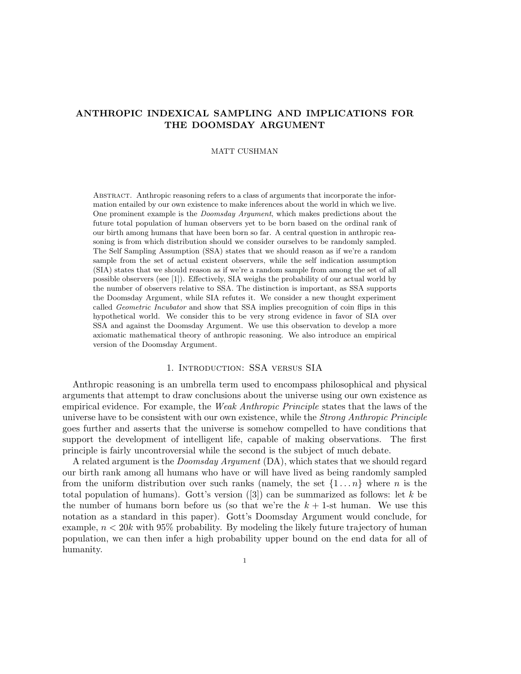# ANTHROPIC INDEXICAL SAMPLING AND IMPLICATIONS FOR THE DOOMSDAY ARGUMENT

### MATT CUSHMAN

Abstract. Anthropic reasoning refers to a class of arguments that incorporate the information entailed by our own existence to make inferences about the world in which we live. One prominent example is the Doomsday Argument, which makes predictions about the future total population of human observers yet to be born based on the ordinal rank of our birth among humans that have been born so far. A central question in anthropic reasoning is from which distribution should we consider ourselves to be randomly sampled. The Self Sampling Assumption (SSA) states that we should reason as if we're a random sample from the set of actual existent observers, while the self indication assumption (SIA) states that we should reason as if we're a random sample from among the set of all possible observers (see [1]). Effectively, SIA weighs the probability of our actual world by the number of observers relative to SSA. The distinction is important, as SSA supports the Doomsday Argument, while SIA refutes it. We consider a new thought experiment called *Geometric Incubator* and show that SSA implies precognition of coin flips in this hypothetical world. We consider this to be very strong evidence in favor of SIA over SSA and against the Doomsday Argument. We use this observation to develop a more axiomatic mathematical theory of anthropic reasoning. We also introduce an empirical version of the Doomsday Argument.

## 1. Introduction: SSA versus SIA

Anthropic reasoning is an umbrella term used to encompass philosophical and physical arguments that attempt to draw conclusions about the universe using our own existence as empirical evidence. For example, the Weak Anthropic Principle states that the laws of the universe have to be consistent with our own existence, while the Strong Anthropic Principle goes further and asserts that the universe is somehow compelled to have conditions that support the development of intelligent life, capable of making observations. The first principle is fairly uncontroversial while the second is the subject of much debate.

A related argument is the Doomsday Argument (DA), which states that we should regard our birth rank among all humans who have or will have lived as being randomly sampled from the uniform distribution over such ranks (namely, the set  $\{1 \dots n\}$ ) where n is the total population of humans). Gott's version  $(3)$  can be summarized as follows: let k be the number of humans born before us (so that we're the  $k + 1$ -st human. We use this notation as a standard in this paper). Gott's Doomsday Argument would conclude, for example,  $n < 20k$  with 95% probability. By modeling the likely future trajectory of human population, we can then infer a high probability upper bound on the end data for all of humanity.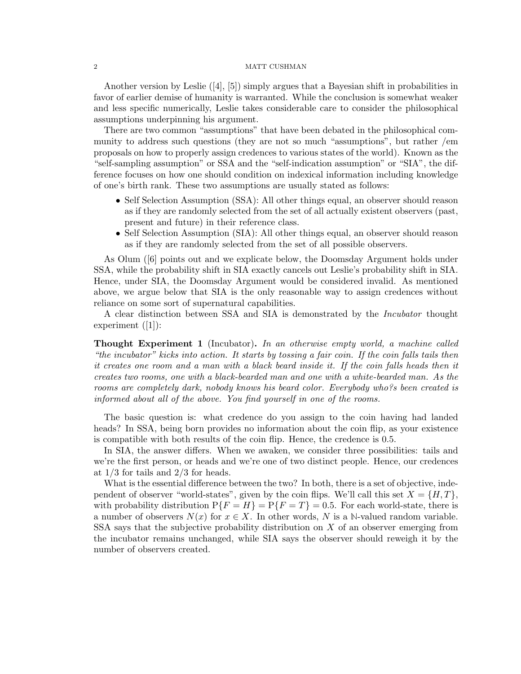Another version by Leslie  $([4], [5])$  simply argues that a Bayesian shift in probabilities in favor of earlier demise of humanity is warranted. While the conclusion is somewhat weaker and less specific numerically, Leslie takes considerable care to consider the philosophical assumptions underpinning his argument.

There are two common "assumptions" that have been debated in the philosophical community to address such questions (they are not so much "assumptions", but rather /em proposals on how to properly assign credences to various states of the world). Known as the "self-sampling assumption" or SSA and the "self-indication assumption" or "SIA", the difference focuses on how one should condition on indexical information including knowledge of one's birth rank. These two assumptions are usually stated as follows:

- Self Selection Assumption (SSA): All other things equal, an observer should reason as if they are randomly selected from the set of all actually existent observers (past, present and future) in their reference class.
- Self Selection Assumption (SIA): All other things equal, an observer should reason as if they are randomly selected from the set of all possible observers.

As Olum ([6] points out and we explicate below, the Doomsday Argument holds under SSA, while the probability shift in SIA exactly cancels out Leslie's probability shift in SIA. Hence, under SIA, the Doomsday Argument would be considered invalid. As mentioned above, we argue below that SIA is the only reasonable way to assign credences without reliance on some sort of supernatural capabilities.

A clear distinction between SSA and SIA is demonstrated by the Incubator thought experiment  $(|1|)$ :

**Thought Experiment 1** (Incubator). In an otherwise empty world, a machine called "the incubator" kicks into action. It starts by tossing a fair coin. If the coin falls tails then it creates one room and a man with a black beard inside it. If the coin falls heads then it creates two rooms, one with a black-bearded man and one with a white-bearded man. As the rooms are completely dark, nobody knows his beard color. Everybody who?s been created is informed about all of the above. You find yourself in one of the rooms.

The basic question is: what credence do you assign to the coin having had landed heads? In SSA, being born provides no information about the coin flip, as your existence is compatible with both results of the coin flip. Hence, the credence is 0.5.

In SIA, the answer differs. When we awaken, we consider three possibilities: tails and we're the first person, or heads and we're one of two distinct people. Hence, our credences at  $1/3$  for tails and  $2/3$  for heads.

What is the essential difference between the two? In both, there is a set of objective, independent of observer "world-states", given by the coin flips. We'll call this set  $X = \{H, T\}$ , with probability distribution  $P\{F = H\} = P\{F = T\} = 0.5$ . For each world-state, there is a number of observers  $N(x)$  for  $x \in X$ . In other words, N is a N-valued random variable. SSA says that the subjective probability distribution on  $X$  of an observer emerging from the incubator remains unchanged, while SIA says the observer should reweigh it by the number of observers created.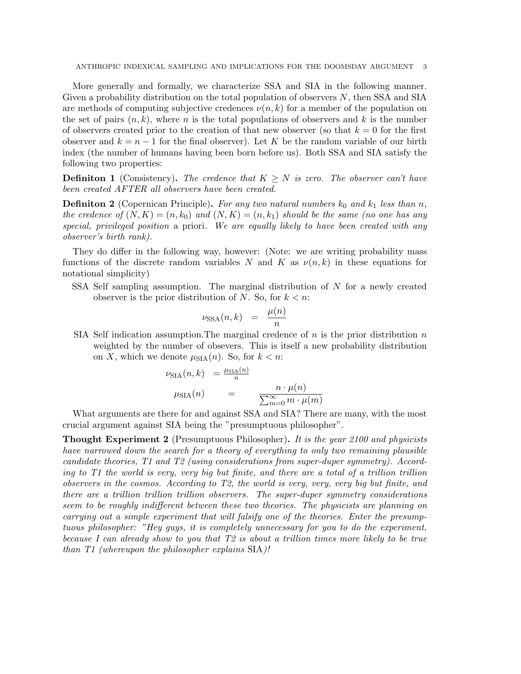More generally and formally, we characterize SSA and SIA in the following manner. Given a probability distribution on the total population of observers  $N$ , then SSA and SIA are methods of computing subjective credences  $\nu(n, k)$  for a member of the population on the set of pairs  $(n, k)$ , where n is the total populations of observers and k is the number of observers created prior to the creation of that new observer (so that  $k = 0$  for the first observer and  $k = n - 1$  for the final observer). Let K be the random variable of our birth index (the number of humans having been born before us). Both SSA and SIA satisfy the following two properties:

**Definiton 1** (Consistency). The credence that  $K \geq N$  is zero. The observer can't have been created AFTER all observers have been created.

**Definiton 2** (Copernican Principle). For any two natural numbers  $k_0$  and  $k_1$  less than n, the credence of  $(N, K) = (n, k_0)$  and  $(N, K) = (n, k_1)$  should be the same (no one has any special, privileged position a priori. We are equally likely to have been created with any observer's birth rank).

They do differ in the following way, however: (Note: we are writing probability mass functions of the discrete random variables N and K as  $\nu(n,k)$  in these equations for notational simplicity)

SSA Self sampling assumption. The marginal distribution of N for a newly created observer is the prior distribution of N. So, for  $k < n$ :

$$
\nu_{\text{SSA}}(n,k) = \frac{\mu(n)}{n}
$$

SIA Self indication assumption. The marginal credence of  $n$  is the prior distribution  $n$ weighted by the number of obsevers. This is itself a new probability distribution on X, which we denote  $\mu_{\text{SIA}}(n)$ . So, for  $k < n$ :

$$
\nu_{\text{SIA}}(n,k) = \frac{\mu_{\text{SIA}}(n)}{n}
$$

$$
\mu_{\text{SIA}}(n) = \frac{n \cdot \mu(n)}{\sum_{m=0}^{\infty} m \cdot \mu(m)}
$$

What arguments are there for and against SSA and SIA? There are many, with the most crucial argument against SIA being the "presumptuous philosopher".

**Thought Experiment 2** (Presumptuous Philosopher). It is the year 2100 and physicists have narrowed down the search for a theory of everything to only two remaining plausible candidate theories, T1 and T2 (using considerations from super-duper symmetry). According to T1 the world is very, very big but finite, and there are a total of a trillion trillion observers in the cosmos. According to T2, the world is very, very, very big but finite, and there are a trillion trillion trillion observers. The super-duper symmetry considerations seem to be roughly indifferent between these two theories. The physicists are planning on carrying out a simple experiment that will falsify one of the theories. Enter the presumptuous philosopher: "Hey guys, it is completely unnecessary for you to do the experiment, because I can already show to you that T2 is about a trillion times more likely to be true than T1 (whereupon the philosopher explains SIA)!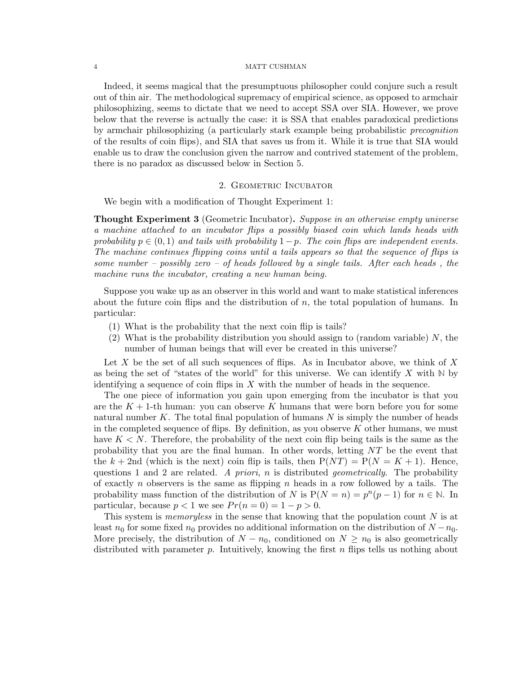Indeed, it seems magical that the presumptuous philosopher could conjure such a result out of thin air. The methodological supremacy of empirical science, as opposed to armchair philosophizing, seems to dictate that we need to accept SSA over SIA. However, we prove below that the reverse is actually the case: it is SSA that enables paradoxical predictions by armchair philosophizing (a particularly stark example being probabilistic precognition of the results of coin flips), and SIA that saves us from it. While it is true that SIA would enable us to draw the conclusion given the narrow and contrived statement of the problem, there is no paradox as discussed below in Section 5.

### 2. GEOMETRIC INCUBATOR

We begin with a modification of Thought Experiment 1:

**Thought Experiment 3** (Geometric Incubator). Suppose in an otherwise empty universe a machine attached to an incubator flips a possibly biased coin which lands heads with probability  $p \in (0, 1)$  and tails with probability  $1-p$ . The coin flips are independent events. The machine continues flipping coins until a tails appears so that the sequence of flips is some number – possibly zero – of heads followed by a single tails. After each heads, the machine runs the incubator, creating a new human being.

Suppose you wake up as an observer in this world and want to make statistical inferences about the future coin flips and the distribution of  $n$ , the total population of humans. In particular:

- (1) What is the probability that the next coin flip is tails?
- (2) What is the probability distribution you should assign to (random variable)  $N$ , the number of human beings that will ever be created in this universe?

Let  $X$  be the set of all such sequences of flips. As in Incubator above, we think of  $X$ as being the set of "states of the world" for this universe. We can identify  $X$  with  $\mathbb N$  by identifying a sequence of coin flips in  $X$  with the number of heads in the sequence.

The one piece of information you gain upon emerging from the incubator is that you are the  $K + 1$ -th human: you can observe K humans that were born before you for some natural number K. The total final population of humans  $N$  is simply the number of heads in the completed sequence of flips. By definition, as you observe  $K$  other humans, we must have  $K < N$ . Therefore, the probability of the next coin flip being tails is the same as the probability that you are the final human. In other words, letting  $NT$  be the event that the  $k + 2$ nd (which is the next) coin flip is tails, then  $P(NT) = P(N = K + 1)$ . Hence, questions 1 and 2 are related. A priori, n is distributed *geometrically*. The probability of exactly n observers is the same as flipping n heads in a row followed by a tails. The probability mass function of the distribution of N is  $P(N = n) = p^{n}(p - 1)$  for  $n \in \mathbb{N}$ . In particular, because  $p < 1$  we see  $Pr(n = 0) = 1 - p > 0$ .

This system is *memoryless* in the sense that knowing that the population count  $N$  is at least  $n_0$  for some fixed  $n_0$  provides no additional information on the distribution of  $N - n_0$ . More precisely, the distribution of  $N - n_0$ , conditioned on  $N \geq n_0$  is also geometrically distributed with parameter p. Intuitively, knowing the first n flips tells us nothing about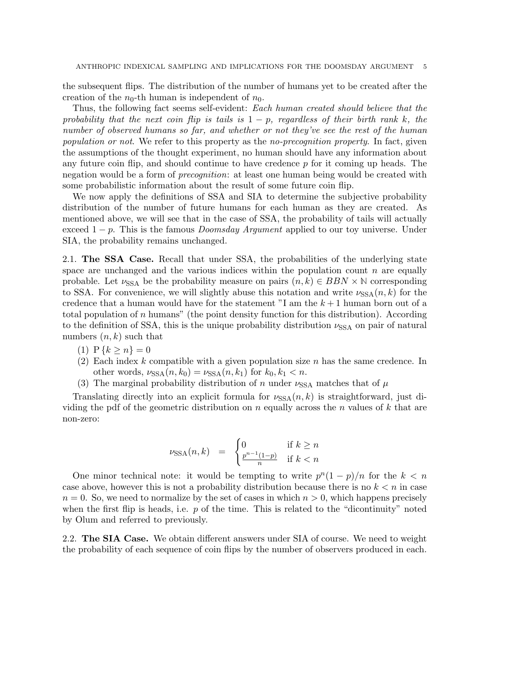the subsequent flips. The distribution of the number of humans yet to be created after the creation of the  $n_0$ -th human is independent of  $n_0$ .

Thus, the following fact seems self-evident: Each human created should believe that the probability that the next coin flip is tails is  $1 - p$ , regardless of their birth rank k, the number of observed humans so far, and whether or not they've see the rest of the human population or not. We refer to this property as the no-precognition property. In fact, given the assumptions of the thought experiment, no human should have any information about any future coin flip, and should continue to have credence  $p$  for it coming up heads. The negation would be a form of *precognition*: at least one human being would be created with some probabilistic information about the result of some future coin flip.

We now apply the definitions of SSA and SIA to determine the subjective probability distribution of the number of future humans for each human as they are created. As mentioned above, we will see that in the case of SSA, the probability of tails will actually exceed  $1 - p$ . This is the famous *Doomsday Argument* applied to our toy universe. Under SIA, the probability remains unchanged.

2.1. The SSA Case. Recall that under SSA, the probabilities of the underlying state space are unchanged and the various indices within the population count  $n$  are equally probable. Let  $\nu_{SSA}$  be the probability measure on pairs  $(n, k) \in BBN \times N$  corresponding to SSA. For convenience, we will slightly abuse this notation and write  $\nu_{SSA}(n, k)$  for the credence that a human would have for the statement "I am the  $k+1$  human born out of a total population of n humans" (the point density function for this distribution). According to the definition of SSA, this is the unique probability distribution  $\nu_{SSA}$  on pair of natural numbers  $(n, k)$  such that

- (1)  $P\{k \geq n\} = 0$
- (2) Each index k compatible with a given population size n has the same credence. In other words,  $\nu_{SSA}(n, k_0) = \nu_{SSA}(n, k_1)$  for  $k_0, k_1 < n$ .
- (3) The marginal probability distribution of n under  $\nu_{SSA}$  matches that of  $\mu$

Translating directly into an explicit formula for  $\nu_{SSA}(n, k)$  is straightforward, just dividing the pdf of the geometric distribution on n equally across the n values of k that are non-zero:

$$
\nu_{\text{SSA}}(n,k) = \begin{cases} 0 & \text{if } k \ge n \\ \frac{p^{n-1}(1-p)}{n} & \text{if } k < n \end{cases}
$$

One minor technical note: it would be tempting to write  $p^{n}(1-p)/n$  for the  $k < n$ case above, however this is not a probability distribution because there is no  $k < n$  in case  $n = 0$ . So, we need to normalize by the set of cases in which  $n > 0$ , which happens precisely when the first flip is heads, i.e.  $p$  of the time. This is related to the "dicontinuity" noted by Olum and referred to previously.

2.2. The SIA Case. We obtain different answers under SIA of course. We need to weight the probability of each sequence of coin flips by the number of observers produced in each.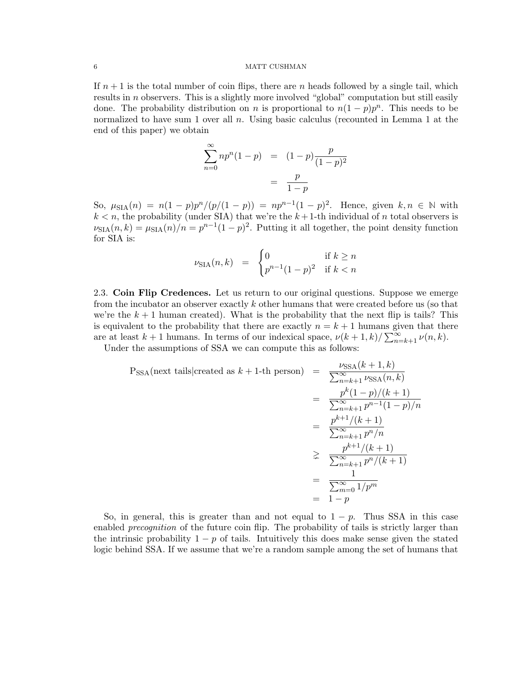If  $n+1$  is the total number of coin flips, there are n heads followed by a single tail, which results in  $n$  observers. This is a slightly more involved "global" computation but still easily done. The probability distribution on n is proportional to  $n(1-p)p^n$ . This needs to be normalized to have sum 1 over all n. Using basic calculus (recounted in Lemma 1 at the end of this paper) we obtain

$$
\sum_{n=0}^{\infty} n p^{n} (1-p) = (1-p) \frac{p}{(1-p)^{2}}
$$

$$
= \frac{p}{1-p}
$$

So,  $\mu_{\text{SIA}}(n) = n(1-p)p^{n}/(p/(1-p)) = np^{n-1}(1-p)^{2}$ . Hence, given  $k, n \in \mathbb{N}$  with  $k < n$ , the probability (under SIA) that we're the  $k+1$ -th individual of n total observers is  $\nu_{\text{SIA}}(n,k) = \mu_{\text{SIA}}(n)/n = p^{n-1}(1-p)^2$ . Putting it all together, the point density function for SIA is:

$$
\nu_{\text{SIA}}(n,k) = \begin{cases} 0 & \text{if } k \ge n \\ p^{n-1}(1-p)^2 & \text{if } k < n \end{cases}
$$

2.3. Coin Flip Credences. Let us return to our original questions. Suppose we emerge from the incubator an observer exactly k other humans that were created before us (so that we're the  $k + 1$  human created). What is the probability that the next flip is tails? This is equivalent to the probability that there are exactly  $n = k + 1$  humans given that there are at least  $k+1$  humans. In terms of our indexical space,  $\nu(k+1,k)/\sum_{n=k+1}^{\infty}\nu(n,k)$ .

Under the assumptions of SSA we can compute this as follows:

$$
P_{SSA}(\text{next tails}|\text{created as } k+1\text{-th person}) = \frac{\nu_{SSA}(k+1, k)}{\sum_{n=k+1}^{\infty} \nu_{SSA}(n, k)}
$$
  
= 
$$
\frac{p^{k}(1-p)/(k+1)}{\sum_{n=k+1}^{\infty} p^{n-1}(1-p)/n}
$$
  
= 
$$
\frac{p^{k+1}/(k+1)}{\sum_{n=k+1}^{\infty} p^{n}/n}
$$
  

$$
\geq \frac{p^{k+1}/(k+1)}{\sum_{n=k+1}^{\infty} p^{n}/(k+1)}
$$
  
= 
$$
\frac{1}{\sum_{m=0}^{\infty} 1/p^{m}}
$$
  
= 
$$
1-p
$$

So, in general, this is greater than and not equal to  $1 - p$ . Thus SSA in this case enabled *precognition* of the future coin flip. The probability of tails is strictly larger than the intrinsic probability  $1 - p$  of tails. Intuitively this does make sense given the stated logic behind SSA. If we assume that we're a random sample among the set of humans that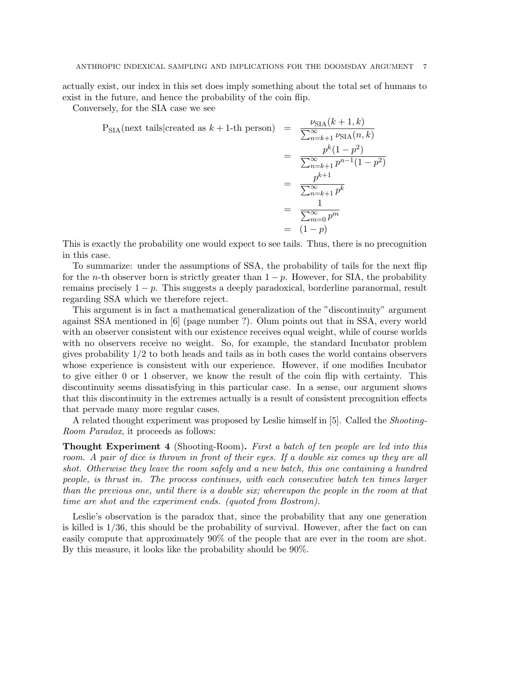actually exist, our index in this set does imply something about the total set of humans to exist in the future, and hence the probability of the coin flip.

Conversely, for the SIA case we see

$$
P_{\text{SIA}}(\text{next tails}|\text{created as } k+1\text{-th person}) = \frac{\nu_{\text{SIA}}(k+1, k)}{\sum_{n=k+1}^{\infty} \nu_{\text{SIA}}(n, k)}
$$
  
= 
$$
\frac{p^{k}(1-p^{2})}{\sum_{n=k+1}^{\infty} p^{n-1}(1-p^{2})}
$$
  
= 
$$
\frac{p^{k+1}}{\sum_{n=k+1}^{\infty} p^{k}}
$$
  
= 
$$
\frac{1}{\sum_{m=0}^{\infty} p^{m}}
$$
  
= 
$$
(1-p)
$$

This is exactly the probability one would expect to see tails. Thus, there is no precognition in this case.

To summarize: under the assumptions of SSA, the probability of tails for the next flip for the *n*-th observer born is strictly greater than  $1 - p$ . However, for SIA, the probability remains precisely  $1 - p$ . This suggests a deeply paradoxical, borderline paranormal, result regarding SSA which we therefore reject.

This argument is in fact a mathematical generalization of the "discontinuity" argument against SSA mentioned in [6] (page number ?). Olum points out that in SSA, every world with an observer consistent with our existence receives equal weight, while of course worlds with no observers receive no weight. So, for example, the standard Incubator problem gives probability 1/2 to both heads and tails as in both cases the world contains observers whose experience is consistent with our experience. However, if one modifies Incubator to give either 0 or 1 observer, we know the result of the coin flip with certainty. This discontinuity seems dissatisfying in this particular case. In a sense, our argument shows that this discontinuity in the extremes actually is a result of consistent precognition effects that pervade many more regular cases.

A related thought experiment was proposed by Leslie himself in [5]. Called the Shooting-Room Paradox, it proceeds as follows:

**Thought Experiment 4** (Shooting-Room). First a batch of ten people are led into this room. A pair of dice is thrown in front of their eyes. If a double six comes up they are all shot. Otherwise they leave the room safely and a new batch, this one containing a hundred people, is thrust in. The process continues, with each consecutive batch ten times larger than the previous one, until there is a double six; whereupon the people in the room at that time are shot and the experiment ends. (quoted from Bostrom).

Leslie's observation is the paradox that, since the probability that any one generation is killed is 1/36, this should be the probability of survival. However, after the fact on can easily compute that approximately 90% of the people that are ever in the room are shot. By this measure, it looks like the probability should be 90%.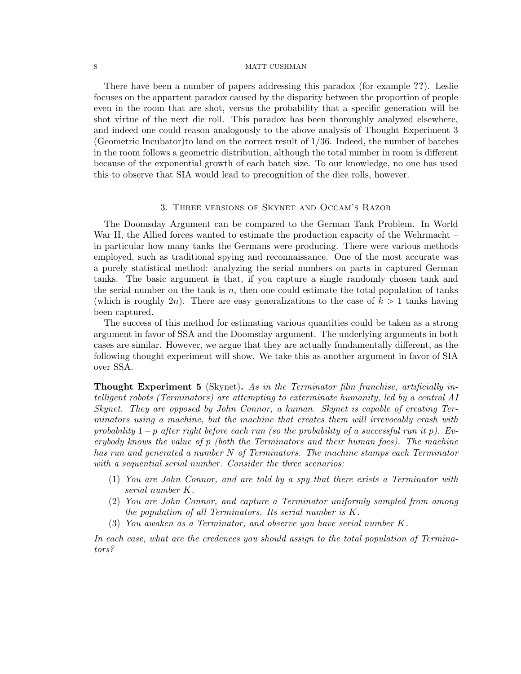There have been a number of papers addressing this paradox (for example ??). Leslie focuses on the appartent paradox caused by the disparity between the proportion of people even in the room that are shot, versus the probability that a specific generation will be shot virtue of the next die roll. This paradox has been thoroughly analyzed elsewhere, and indeed one could reason analogously to the above analysis of Thought Experiment 3 (Geometric Incubator)to land on the correct result of 1/36. Indeed, the number of batches in the room follows a geometric distribution, although the total number in room is different because of the exponential growth of each batch size. To our knowledge, no one has used this to observe that SIA would lead to precognition of the dice rolls, however.

### 3. Three versions of Skynet and Occam's Razor

The Doomsday Argument can be compared to the German Tank Problem. In World War II, the Allied forces wanted to estimate the production capacity of the Wehrmacht – in particular how many tanks the Germans were producing. There were various methods employed, such as traditional spying and reconnaissance. One of the most accurate was a purely statistical method: analyzing the serial numbers on parts in captured German tanks. The basic argument is that, if you capture a single randomly chosen tank and the serial number on the tank is  $n$ , then one could estimate the total population of tanks (which is roughly  $2n$ ). There are easy generalizations to the case of  $k > 1$  tanks having been captured.

The success of this method for estimating various quantities could be taken as a strong argument in favor of SSA and the Doomsday argument. The underlying arguments in both cases are similar. However, we argue that they are actually fundamentally different, as the following thought experiment will show. We take this as another argument in favor of SIA over SSA.

Thought Experiment 5 (Skynet). As in the Terminator film franchise, artificially intelligent robots (Terminators) are attempting to exterminate humanity, led by a central AI Skynet. They are opposed by John Connor, a human. Skynet is capable of creating Terminators using a machine, but the machine that creates them will irrevocably crash with probability  $1-p$  after right before each run (so the probability of a successful run it p). Everybody knows the value of p (both the Terminators and their human foes). The machine has run and generated a number N of Terminators. The machine stamps each Terminator with a sequential serial number. Consider the three scenarios:

- (1) You are John Connor, and are told by a spy that there exists a Terminator with serial number K.
- (2) You are John Connor, and capture a Terminator uniformly sampled from among the population of all Terminators. Its serial number is K.
- (3) You awaken as a Terminator, and observe you have serial number K.

In each case, what are the credences you should assign to the total population of Terminators?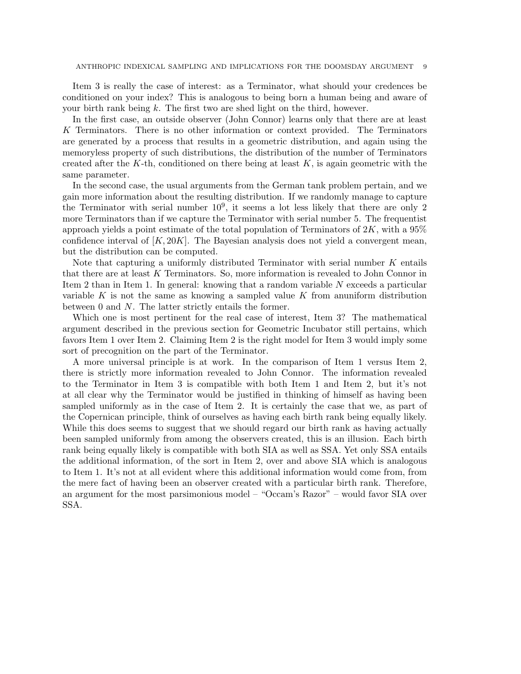Item 3 is really the case of interest: as a Terminator, what should your credences be conditioned on your index? This is analogous to being born a human being and aware of your birth rank being  $k$ . The first two are shed light on the third, however.

In the first case, an outside observer (John Connor) learns only that there are at least K Terminators. There is no other information or context provided. The Terminators are generated by a process that results in a geometric distribution, and again using the memoryless property of such distributions, the distribution of the number of Terminators created after the K-th, conditioned on there being at least  $K$ , is again geometric with the same parameter.

In the second case, the usual arguments from the German tank problem pertain, and we gain more information about the resulting distribution. If we randomly manage to capture the Terminator with serial number  $10^9$ , it seems a lot less likely that there are only 2 more Terminators than if we capture the Terminator with serial number 5. The frequentist approach yields a point estimate of the total population of Terminators of  $2K$ , with a  $95\%$ confidence interval of  $[K, 20K]$ . The Bayesian analysis does not yield a convergent mean, but the distribution can be computed.

Note that capturing a uniformly distributed Terminator with serial number  $K$  entails that there are at least K Terminators. So, more information is revealed to John Connor in Item 2 than in Item 1. In general: knowing that a random variable N exceeds a particular variable K is not the same as knowing a sampled value K from anuniform distribution between 0 and N. The latter strictly entails the former.

Which one is most pertinent for the real case of interest, Item 3? The mathematical argument described in the previous section for Geometric Incubator still pertains, which favors Item 1 over Item 2. Claiming Item 2 is the right model for Item 3 would imply some sort of precognition on the part of the Terminator.

A more universal principle is at work. In the comparison of Item 1 versus Item 2, there is strictly more information revealed to John Connor. The information revealed to the Terminator in Item 3 is compatible with both Item 1 and Item 2, but it's not at all clear why the Terminator would be justified in thinking of himself as having been sampled uniformly as in the case of Item 2. It is certainly the case that we, as part of the Copernican principle, think of ourselves as having each birth rank being equally likely. While this does seems to suggest that we should regard our birth rank as having actually been sampled uniformly from among the observers created, this is an illusion. Each birth rank being equally likely is compatible with both SIA as well as SSA. Yet only SSA entails the additional information, of the sort in Item 2, over and above SIA which is analogous to Item 1. It's not at all evident where this additional information would come from, from the mere fact of having been an observer created with a particular birth rank. Therefore, an argument for the most parsimonious model – "Occam's Razor" – would favor SIA over SSA.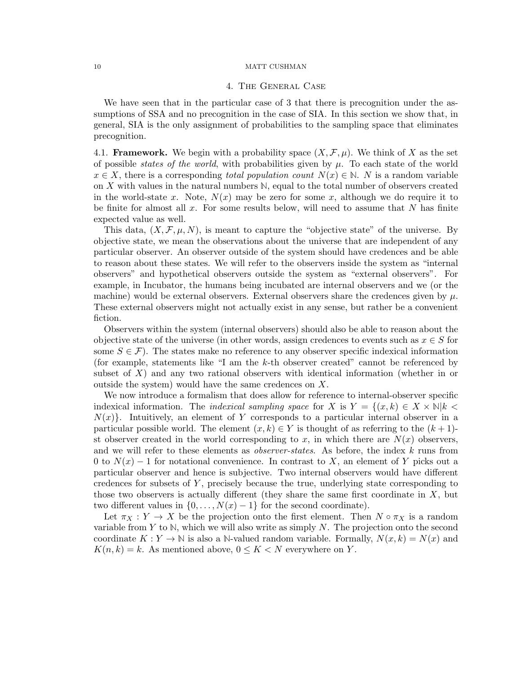### 4. The General Case

We have seen that in the particular case of 3 that there is precognition under the assumptions of SSA and no precognition in the case of SIA. In this section we show that, in general, SIA is the only assignment of probabilities to the sampling space that eliminates precognition.

4.1. **Framework.** We begin with a probability space  $(X, \mathcal{F}, \mu)$ . We think of X as the set of possible *states of the world*, with probabilities given by  $\mu$ . To each state of the world  $x \in X$ , there is a corresponding *total population count*  $N(x) \in \mathbb{N}$ . N is a random variable on X with values in the natural numbers **N**, equal to the total number of observers created in the world-state x. Note,  $N(x)$  may be zero for some x, although we do require it to be finite for almost all  $x$ . For some results below, will need to assume that  $N$  has finite expected value as well.

This data,  $(X, \mathcal{F}, \mu, N)$ , is meant to capture the "objective state" of the universe. By objective state, we mean the observations about the universe that are independent of any particular observer. An observer outside of the system should have credences and be able to reason about these states. We will refer to the observers inside the system as "internal observers" and hypothetical observers outside the system as "external observers". For example, in Incubator, the humans being incubated are internal observers and we (or the machine) would be external observers. External observers share the credences given by  $\mu$ . These external observers might not actually exist in any sense, but rather be a convenient fiction.

Observers within the system (internal observers) should also be able to reason about the objective state of the universe (in other words, assign credences to events such as  $x \in S$  for some  $S \in \mathcal{F}$ ). The states make no reference to any observer specific indexical information (for example, statements like "I am the k-th observer created" cannot be referenced by subset of  $X$ ) and any two rational observers with identical information (whether in or outside the system) would have the same credences on X.

We now introduce a formalism that does allow for reference to internal-observer specific indexical information. The *indexical sampling space* for X is  $Y = \{(x, k) \in X \times \mathbb{N} | k \leq k\}$  $N(x)$ . Intuitively, an element of Y corresponds to a particular internal observer in a particular possible world. The element  $(x, k) \in Y$  is thought of as referring to the  $(k+1)$ st observer created in the world corresponding to x, in which there are  $N(x)$  observers, and we will refer to these elements as *observer-states*. As before, the index k runs from 0 to  $N(x) - 1$  for notational convenience. In contrast to X, an element of Y picks out a particular observer and hence is subjective. Two internal observers would have different credences for subsets of  $Y$ , precisely because the true, underlying state corresponding to those two observers is actually different (they share the same first coordinate in  $X$ , but two different values in  $\{0, \ldots, N(x) - 1\}$  for the second coordinate).

Let  $\pi_X : Y \to X$  be the projection onto the first element. Then  $N \circ \pi_X$  is a random variable from Y to  $\mathbb N$ , which we will also write as simply N. The projection onto the second coordinate  $K: Y \to \mathbb{N}$  is also a N-valued random variable. Formally,  $N(x, k) = N(x)$  and  $K(n, k) = k$ . As mentioned above,  $0 \leq K < N$  everywhere on Y.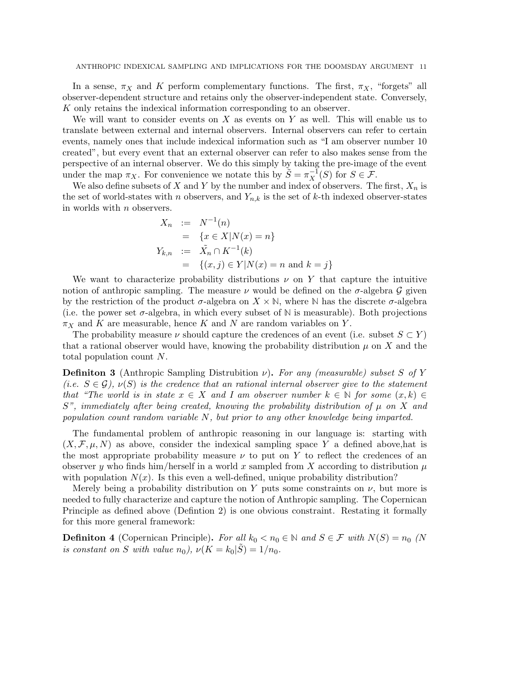In a sense,  $\pi_X$  and K perform complementary functions. The first,  $\pi_X$ , "forgets" all observer-dependent structure and retains only the observer-independent state. Conversely, K only retains the indexical information corresponding to an observer.

We will want to consider events on  $X$  as events on  $Y$  as well. This will enable us to translate between external and internal observers. Internal observers can refer to certain events, namely ones that include indexical information such as "I am observer number 10 created", but every event that an external observer can refer to also makes sense from the perspective of an internal observer. We do this simply by taking the pre-image of the event under the map  $\pi_X$ . For convenience we notate this by  $\tilde{S} = \pi_X^{-1}(S)$  for  $S \in \mathcal{F}$ .

We also define subsets of X and Y by the number and index of observers. The first,  $X_n$  is the set of world-states with n observers, and  $Y_{n,k}$  is the set of k-th indexed observer-states in worlds with n observers.

$$
X_n := N^{-1}(n)
$$
  
= {x \in X | N(x) = n}  

$$
Y_{k,n} := \tilde{X}_n \cap K^{-1}(k)
$$
  
= { $(x, j) \in Y | N(x) = n$  and  $k = j$ }

We want to characterize probability distributions  $\nu$  on Y that capture the intuitive notion of anthropic sampling. The measure  $\nu$  would be defined on the  $\sigma$ -algebra  $\mathcal G$  given by the restriction of the product  $\sigma$ -algebra on  $X \times \mathbb{N}$ , where  $\mathbb{N}$  has the discrete  $\sigma$ -algebra (i.e. the power set  $\sigma$ -algebra, in which every subset of  $\mathbb N$  is measurable). Both projections  $\pi_X$  and K are measurable, hence K and N are random variables on Y.

The probability measure  $\nu$  should capture the credences of an event (i.e. subset  $S \subset Y$ ) that a rational observer would have, knowing the probability distribution  $\mu$  on X and the total population count N.

**Definiton 3** (Anthropic Sampling Distrubition  $\nu$ ). For any (measurable) subset S of Y (i.e.  $S \in \mathcal{G}$ ),  $\nu(S)$  is the credence that an rational internal observer give to the statement that "The world is in state  $x \in X$  and I am observer number  $k \in \mathbb{N}$  for some  $(x, k) \in$  $S$ ", immediately after being created, knowing the probability distribution of  $\mu$  on X and population count random variable N, but prior to any other knowledge being imparted.

The fundamental problem of anthropic reasoning in our language is: starting with  $(X, \mathcal{F}, \mu, N)$  as above, consider the indexical sampling space Y a defined above, hat is the most appropriate probability measure  $\nu$  to put on Y to reflect the credences of an observer y who finds him/herself in a world x sampled from X according to distribution  $\mu$ with population  $N(x)$ . Is this even a well-defined, unique probability distribution?

Merely being a probability distribution on Y puts some constraints on  $\nu$ , but more is needed to fully characterize and capture the notion of Anthropic sampling. The Copernican Principle as defined above (Defintion 2) is one obvious constraint. Restating it formally for this more general framework:

**Definiton 4** (Copernican Principle). For all  $k_0 < n_0 \in \mathbb{N}$  and  $S \in \mathcal{F}$  with  $N(S) = n_0$  (N is constant on S with value  $n_0$ ),  $\nu(K = k_0|S) = 1/n_0$ .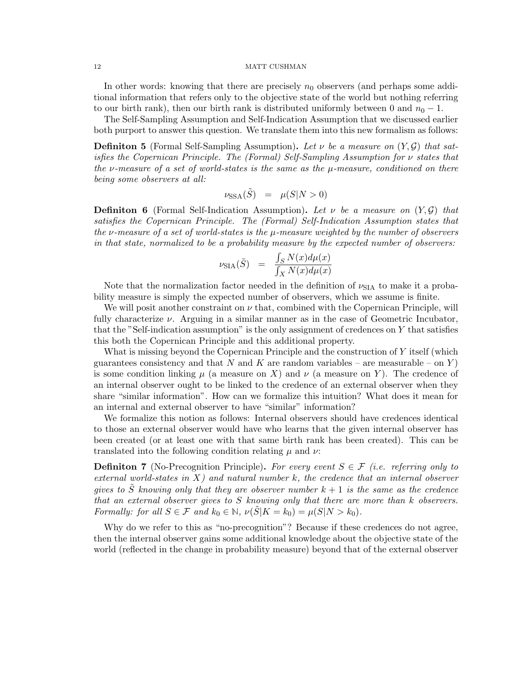In other words: knowing that there are precisely  $n_0$  observers (and perhaps some additional information that refers only to the objective state of the world but nothing referring to our birth rank), then our birth rank is distributed uniformly between 0 and  $n_0 - 1$ .

The Self-Sampling Assumption and Self-Indication Assumption that we discussed earlier both purport to answer this question. We translate them into this new formalism as follows:

**Definiton 5** (Formal Self-Sampling Assumption). Let  $\nu$  be a measure on  $(Y, \mathcal{G})$  that satisfies the Copernican Principle. The (Formal) Self-Sampling Assumption for ν states that the v-measure of a set of world-states is the same as the  $\mu$ -measure, conditioned on there being some observers at all:

$$
\nu_{\text{SSA}}(\tilde{S}) = \mu(S|N > 0)
$$

**Definiton 6** (Formal Self-Indication Assumption). Let  $\nu$  be a measure on  $(Y, \mathcal{G})$  that satisfies the Copernican Principle. The (Formal) Self-Indication Assumption states that the v-measure of a set of world-states is the  $\mu$ -measure weighted by the number of observers in that state, normalized to be a probability measure by the expected number of observers:

$$
\nu_{\text{SIA}}(\tilde{S}) \quad = \quad \frac{\int_S N(x) d\mu(x)}{\int_X N(x) d\mu(x)}
$$

Note that the normalization factor needed in the definition of  $\nu_{\text{SIA}}$  to make it a probability measure is simply the expected number of observers, which we assume is finite.

We will posit another constraint on  $\nu$  that, combined with the Copernican Principle, will fully characterize  $\nu$ . Arguing in a similar manner as in the case of Geometric Incubator, that the "Self-indication assumption" is the only assignment of credences on Y that satisfies this both the Copernican Principle and this additional property.

What is missing beyond the Copernican Principle and the construction of Y itself (which guarantees consistency and that N and K are random variables – are measurable – on Y) is some condition linking  $\mu$  (a measure on X) and  $\nu$  (a measure on Y). The credence of an internal observer ought to be linked to the credence of an external observer when they share "similar information". How can we formalize this intuition? What does it mean for an internal and external observer to have "similar" information?

We formalize this notion as follows: Internal observers should have credences identical to those an external observer would have who learns that the given internal observer has been created (or at least one with that same birth rank has been created). This can be translated into the following condition relating  $\mu$  and  $\nu$ .

**Definiton 7** (No-Precognition Principle). For every event  $S \in \mathcal{F}$  (i.e. referring only to external world-states in  $X$ ) and natural number k, the credence that an internal observer gives to  $\tilde{S}$  knowing only that they are observer number  $k+1$  is the same as the credence that an external observer gives to S knowing only that there are more than k observers. Formally: for all  $S \in \mathcal{F}$  and  $k_0 \in \mathbb{N}$ ,  $\nu(\tilde{S}|K = k_0) = \mu(S|N > k_0)$ .

Why do we refer to this as "no-precognition"? Because if these credences do not agree, then the internal observer gains some additional knowledge about the objective state of the world (reflected in the change in probability measure) beyond that of the external observer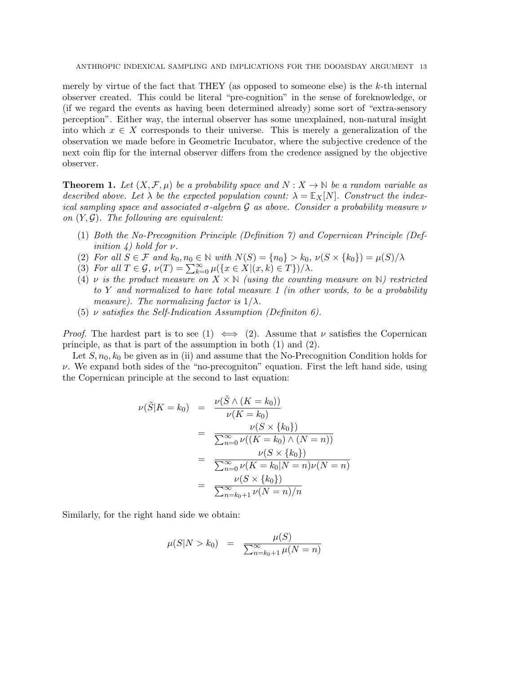merely by virtue of the fact that THEY (as opposed to someone else) is the  $k$ -th internal observer created. This could be literal "pre-cognition" in the sense of foreknowledge, or (if we regard the events as having been determined already) some sort of "extra-sensory perception". Either way, the internal observer has some unexplained, non-natural insight into which  $x \in X$  corresponds to their universe. This is merely a generalization of the observation we made before in Geometric Incubator, where the subjective credence of the next coin flip for the internal observer differs from the credence assigned by the objective observer.

**Theorem 1.** Let  $(X, \mathcal{F}, \mu)$  be a probability space and  $N : X \to \mathbb{N}$  be a random variable as described above. Let  $\lambda$  be the expected population count:  $\lambda = \mathbb{E}_X[N]$ . Construct the indexical sampling space and associated  $\sigma$ -algebra G as above. Consider a probability measure  $\nu$ on  $(Y, \mathcal{G})$ . The following are equivalent:

- (1) Both the No-Precognition Principle (Definition 7) and Copernican Principle (Definition  $\lambda$ ) hold for  $\nu$ .
- (2) For all  $S \in \mathcal{F}$  and  $k_0, n_0 \in \mathbb{N}$  with  $N(S) = \{n_0\} > k_0$ ,  $\nu(S \times \{k_0\}) = \mu(S)/\lambda$
- (3) For all  $T \in \mathcal{G}$ ,  $\nu(T) = \sum_{k=0}^{\infty} \mu(\lbrace x \in X | (x, k) \in T \rbrace)/\lambda$ .
- (4)  $\nu$  is the product measure on  $X \times \mathbb{N}$  (using the counting measure on  $\mathbb{N}$ ) restricted to Y and normalized to have total measure 1 (in other words, to be a probability measure). The normalizing factor is  $1/\lambda$ .
- (5)  $\nu$  satisfies the Self-Indication Assumption (Definiton 6).

*Proof.* The hardest part is to see (1)  $\iff$  (2). Assume that  $\nu$  satisfies the Copernican principle, as that is part of the assumption in both (1) and (2).

Let  $S, n_0, k_0$  be given as in (ii) and assume that the No-Precognition Condition holds for  $\nu$ . We expand both sides of the "no-precogniton" equation. First the left hand side, using the Copernican principle at the second to last equation:

$$
\nu(\tilde{S}|K = k_0) = \frac{\nu(\tilde{S} \wedge (K = k_0))}{\nu(K = k_0)} \n= \frac{\nu(S \times \{k_0\})}{\sum_{n=0}^{\infty} \nu((K = k_0) \wedge (N = n))} \n= \frac{\nu(S \times \{k_0\})}{\sum_{n=0}^{\infty} \nu(K = k_0|N = n)\nu(N = n)} \n= \frac{\nu(S \times \{k_0\})}{\sum_{n=k_0+1}^{\infty} \nu(N = n)/n}
$$

Similarly, for the right hand side we obtain:

$$
\mu(S|N > k_0) = \frac{\mu(S)}{\sum_{n=k_0+1}^{\infty} \mu(N = n)}
$$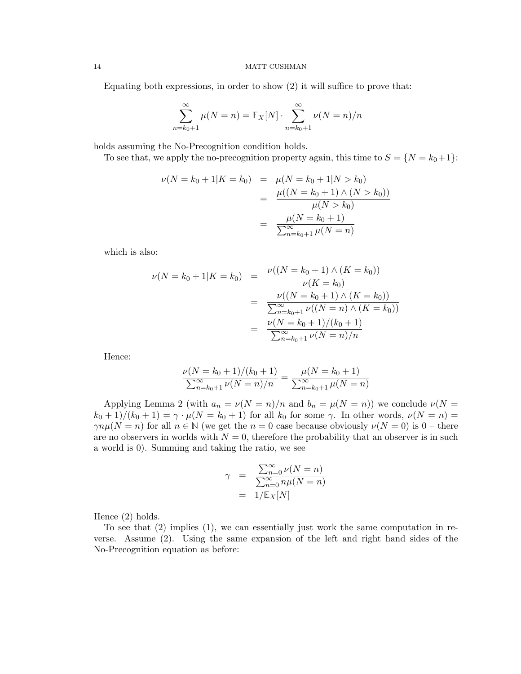Equating both expressions, in order to show (2) it will suffice to prove that:

$$
\sum_{n=k_0+1}^{\infty} \mu(N=n) = \mathbb{E}_X[N] \cdot \sum_{n=k_0+1}^{\infty} \nu(N=n)/n
$$

holds assuming the No-Precognition condition holds.

To see that, we apply the no-precognition property again, this time to  $S = \{N = k_0 + 1\}$ :

$$
\nu(N = k_0 + 1|K = k_0) = \mu(N = k_0 + 1|N > k_0)
$$
  
= 
$$
\frac{\mu((N = k_0 + 1) \land (N > k_0))}{\mu(N > k_0)}
$$
  
= 
$$
\frac{\mu(N = k_0 + 1)}{\sum_{n=k_0+1}^{\infty} \mu(N = n)}
$$

which is also:

$$
\nu(N = k_0 + 1|K = k_0) = \frac{\nu((N = k_0 + 1) \wedge (K = k_0))}{\nu(K = k_0)}
$$

$$
= \frac{\nu((N = k_0 + 1) \wedge (K = k_0))}{\sum_{n = k_0 + 1}^{\infty} \nu((N = n) \wedge (K = k_0))}
$$

$$
= \frac{\nu(N = k_0 + 1)/(k_0 + 1)}{\sum_{n = k_0 + 1}^{\infty} \nu(N = n)/n}
$$

Hence:

$$
\frac{\nu(N = k_0 + 1)/(k_0 + 1)}{\sum_{n = k_0 + 1}^{\infty} \nu(N = n)/n} = \frac{\mu(N = k_0 + 1)}{\sum_{n = k_0 + 1}^{\infty} \mu(N = n)}
$$

Applying Lemma 2 (with  $a_n = \nu(N = n)/n$  and  $b_n = \mu(N = n)$ ) we conclude  $\nu(N = n)$  $(k_0 + 1)/(k_0 + 1) = \gamma \cdot \mu(N = k_0 + 1)$  for all  $k_0$  for some  $\gamma$ . In other words,  $\nu(N = n) =$  $\gamma n\mu(N = n)$  for all  $n \in \mathbb{N}$  (we get the  $n = 0$  case because obviously  $\nu(N = 0)$  is  $0$  – there are no observers in worlds with  $N = 0$ , therefore the probability that an observer is in such a world is 0). Summing and taking the ratio, we see

$$
\gamma = \frac{\sum_{n=0}^{\infty} \nu(N = n)}{\sum_{n=0}^{\infty} n\mu(N = n)}
$$
  
= 1/E<sub>X</sub>[N]

Hence (2) holds.

To see that (2) implies (1), we can essentially just work the same computation in reverse. Assume (2). Using the same expansion of the left and right hand sides of the No-Precognition equation as before: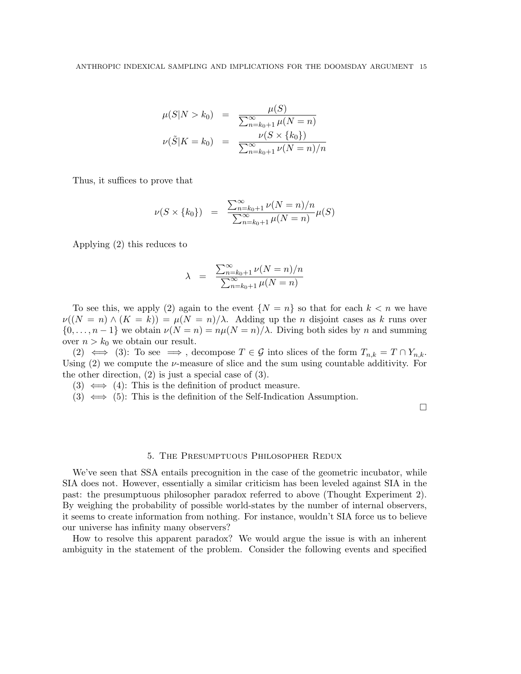$$
\mu(S|N > k_0) = \frac{\mu(S)}{\sum_{n=k_0+1}^{\infty} \mu(N = n)}
$$
  

$$
\nu(\tilde{S}|K = k_0) = \frac{\nu(S \times \{k_0\})}{\sum_{n=k_0+1}^{\infty} \nu(N = n)/n}
$$

Thus, it suffices to prove that

$$
\nu(S \times \{k_0\}) = \frac{\sum_{n=k_0+1}^{\infty} \nu(N=n)/n}{\sum_{n=k_0+1}^{\infty} \mu(N=n)} \mu(S)
$$

Applying (2) this reduces to

$$
\lambda = \frac{\sum_{n=k_0+1}^{\infty} \nu(N=n)/n}{\sum_{n=k_0+1}^{\infty} \mu(N=n)}
$$

To see this, we apply (2) again to the event  $\{N = n\}$  so that for each  $k < n$  we have  $\nu((N = n) \wedge (K = k)) = \mu(N = n)/\lambda$ . Adding up the *n* disjoint cases as k runs over  $\{0, \ldots, n-1\}$  we obtain  $\nu(N = n) = n\mu(N = n)/\lambda$ . Diving both sides by n and summing over  $n > k_0$  we obtain our result.

(2)  $\iff$  (3): To see  $\implies$ , decompose  $T \in \mathcal{G}$  into slices of the form  $T_{n,k} = T \cap Y_{n,k}$ . Using  $(2)$  we compute the  $\nu$ -measure of slice and the sum using countable additivity. For the other direction, (2) is just a special case of (3).

- $(3) \iff (4)$ : This is the definition of product measure.
- (3)  $\iff$  (5): This is the definition of the Self-Indication Assumption.

 $\Box$ 

#### 5. The Presumptuous Philosopher Redux

We've seen that SSA entails precognition in the case of the geometric incubator, while SIA does not. However, essentially a similar criticism has been leveled against SIA in the past: the presumptuous philosopher paradox referred to above (Thought Experiment 2). By weighing the probability of possible world-states by the number of internal observers, it seems to create information from nothing. For instance, wouldn't SIA force us to believe our universe has infinity many observers?

How to resolve this apparent paradox? We would argue the issue is with an inherent ambiguity in the statement of the problem. Consider the following events and specified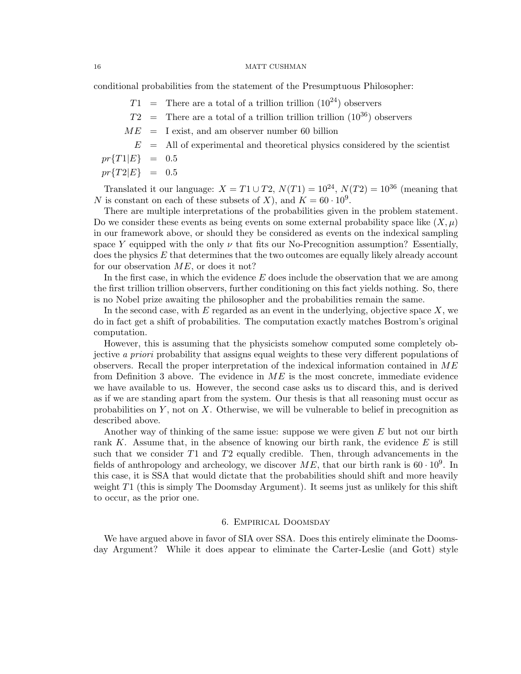conditional probabilities from the statement of the Presumptuous Philosopher:

 $T1 =$  There are a total of a trillion trillion  $(10^{24})$  observers  $T2 =$  There are a total of a trillion trillion trillion  $(10^{36})$  observers  $ME = I$  exist, and am observer number 60 billion  $E$  = All of experimental and theoretical physics considered by the scientist  $pr\{T1|E\} = 0.5$  $pr{T2|E} = 0.5$ 

Translated it our language:  $X = T1 \cup T2$ ,  $N(T1) = 10^{24}$ ,  $N(T2) = 10^{36}$  (meaning that N is constant on each of these subsets of X), and  $K = 60 \cdot 10^9$ .

There are multiple interpretations of the probabilities given in the problem statement. Do we consider these events as being events on some external probability space like  $(X, \mu)$ in our framework above, or should they be considered as events on the indexical sampling space Y equipped with the only  $\nu$  that fits our No-Precognition assumption? Essentially,  $\chi$  does the physics  $E$  that determines that the two outcomes are equally likely already account for our observation  $ME$ , or does it not?

In the first case, in which the evidence  $E$  does include the observation that we are among the first trillion trillion observers, further conditioning on this fact yields nothing. So, there is no Nobel prize awaiting the philosopher and the probabilities remain the same.

In the second case, with  $E$  regarded as an event in the underlying, objective space  $X$ , we do in fact get a shift of probabilities. The computation exactly matches Bostrom's original computation.

However, this is assuming that the physicists somehow computed some completely objective a priori probability that assigns equal weights to these very different populations of observers. Recall the proper interpretation of the indexical information contained in  $ME$ from Definition 3 above. The evidence in  $ME$  is the most concrete, immediate evidence we have available to us. However, the second case asks us to discard this, and is derived as if we are standing apart from the system. Our thesis is that all reasoning must occur as probabilities on  $Y$ , not on  $X$ . Otherwise, we will be vulnerable to belief in precognition as described above.

Another way of thinking of the same issue: suppose we were given E but not our birth rank K. Assume that, in the absence of knowing our birth rank, the evidence  $E$  is still such that we consider T1 and T2 equally credible. Then, through advancements in the fields of anthropology and archeology, we discover  $ME$ , that our birth rank is 60  $\cdot 10^9$ . In this case, it is SSA that would dictate that the probabilities should shift and more heavily weight T1 (this is simply The Doomsday Argument). It seems just as unlikely for this shift to occur, as the prior one.

### 6. Empirical Doomsday

We have argued above in favor of SIA over SSA. Does this entirely eliminate the Doomsday Argument? While it does appear to eliminate the Carter-Leslie (and Gott) style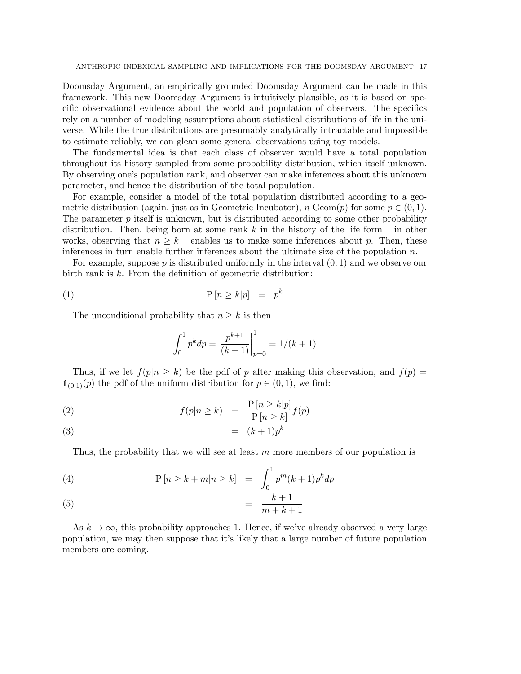ANTHROPIC INDEXICAL SAMPLING AND IMPLICATIONS FOR THE DOOMSDAY ARGUMENT 17

Doomsday Argument, an empirically grounded Doomsday Argument can be made in this framework. This new Doomsday Argument is intuitively plausible, as it is based on specific observational evidence about the world and population of observers. The specifics rely on a number of modeling assumptions about statistical distributions of life in the universe. While the true distributions are presumably analytically intractable and impossible to estimate reliably, we can glean some general observations using toy models.

The fundamental idea is that each class of observer would have a total population throughout its history sampled from some probability distribution, which itself unknown. By observing one's population rank, and observer can make inferences about this unknown parameter, and hence the distribution of the total population.

For example, consider a model of the total population distributed according to a geometric distribution (again, just as in Geometric Incubator), n Geom $(p)$  for some  $p \in (0,1)$ . The parameter  $p$  itself is unknown, but is distributed according to some other probability distribution. Then, being born at some rank k in the history of the life form – in other works, observing that  $n \geq k$  – enables us to make some inferences about p. Then, these inferences in turn enable further inferences about the ultimate size of the population  $n$ .

For example, suppose  $p$  is distributed uniformly in the interval  $(0, 1)$  and we observe our birth rank is k. From the definition of geometric distribution:

$$
(1) \t\t\t P[n \ge k|p] = p^k
$$

The unconditional probability that  $n \geq k$  is then

$$
\int_0^1 p^k dp = \left. \frac{p^{k+1}}{(k+1)} \right|_{p=0}^1 = 1/(k+1)
$$

Thus, if we let  $f(p|n \geq k)$  be the pdf of p after making this observation, and  $f(p)$  $\mathbb{1}_{(0,1)}(p)$  the pdf of the uniform distribution for  $p \in (0,1)$ , we find:

(2) 
$$
f(p|n \ge k) = \frac{P[n \ge k|p]}{P[n \ge k]} f(p)
$$

$$
(3) \qquad \qquad = \quad (k+1)p^k
$$

Thus, the probability that we will see at least  $m$  more members of our population is

(4) 
$$
\mathbf{P}\left[n \ge k + m | n \ge k\right] = \int_0^1 p^m (k+1) p^k dp
$$

$$
(5) \qquad \qquad = \frac{k+1}{m+k+1}
$$

As  $k \to \infty$ , this probability approaches 1. Hence, if we've already observed a very large population, we may then suppose that it's likely that a large number of future population members are coming.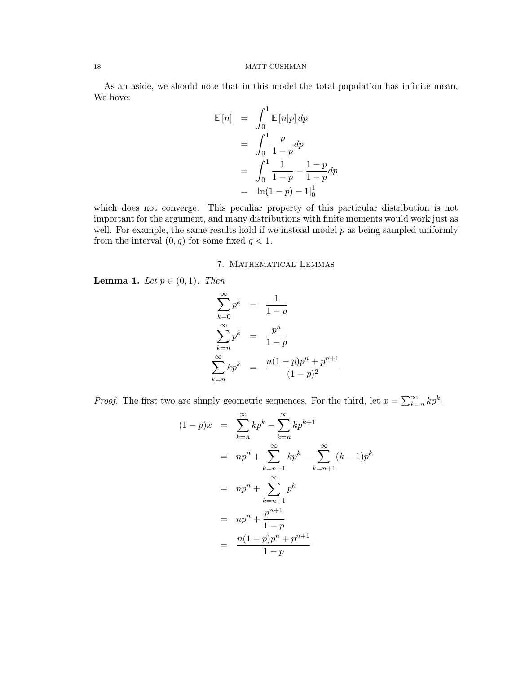As an aside, we should note that in this model the total population has infinite mean. We have:

$$
\mathbb{E}[n] = \int_0^1 \mathbb{E}[n|p] \, dp
$$
  
= 
$$
\int_0^1 \frac{p}{1-p} \, dp
$$
  
= 
$$
\int_0^1 \frac{1}{1-p} - \frac{1-p}{1-p} \, dp
$$
  
= 
$$
\ln(1-p) - 1\Big|_0^1
$$

which does not converge. This peculiar property of this particular distribution is not important for the argument, and many distributions with finite moments would work just as well. For example, the same results hold if we instead model  $p$  as being sampled uniformly from the interval  $(0, q)$  for some fixed  $q < 1$ .

## 7. Mathematical Lemmas

Lemma 1. Let  $p \in (0,1)$ . Then

$$
\sum_{k=0}^{\infty} p^k = \frac{1}{1-p}
$$
  

$$
\sum_{k=n}^{\infty} p^k = \frac{p^n}{1-p}
$$
  

$$
\sum_{k=n}^{\infty} kp^k = \frac{n(1-p)p^n + p^{n+1}}{(1-p)^2}
$$

*Proof.* The first two are simply geometric sequences. For the third, let  $x = \sum_{k=n}^{\infty} kp^k$ .

$$
(1-p)x = \sum_{k=n}^{\infty} kp^k - \sum_{k=n}^{\infty} kp^{k+1}
$$
  
=  $np^n + \sum_{k=n+1}^{\infty} kp^k - \sum_{k=n+1}^{\infty} (k-1)p^k$   
=  $np^n + \sum_{k=n+1}^{\infty} p^k$   
=  $np^n + \frac{p^{n+1}}{1-p}$   
=  $\frac{n(1-p)p^n + p^{n+1}}{1-p}$